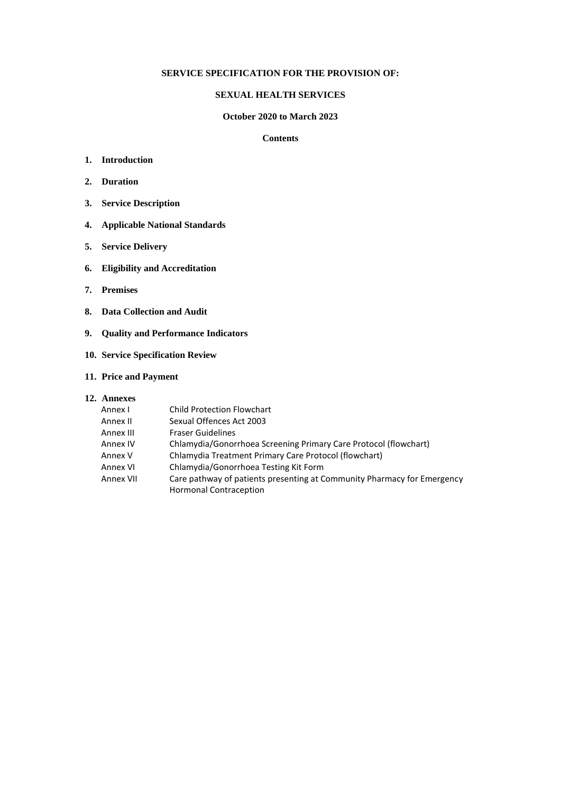### **SERVICE SPECIFICATION FOR THE PROVISION OF:**

#### **SEXUAL HEALTH SERVICES**

#### **October 2020 to March 2023**

#### **Contents**

- **1. Introduction**
- **2. Duration**
- **3. Service Description**
- **4. Applicable National Standards**
- **5. Service Delivery**
- **6. Eligibility and Accreditation**
- **7. Premises**
- **8. Data Collection and Audit**
- **9. Quality and Performance Indicators**
- **10. Service Specification Review**
- **11. Price and Payment**
- **12. Annexes**

| Annex I   | <b>Child Protection Flowchart</b>                                       |  |
|-----------|-------------------------------------------------------------------------|--|
| Annex II  | Sexual Offences Act 2003                                                |  |
| Annex III | <b>Fraser Guidelines</b>                                                |  |
| Annex IV  | Chlamydia/Gonorrhoea Screening Primary Care Protocol (flowchart)        |  |
| Annex V   | Chlamydia Treatment Primary Care Protocol (flowchart)                   |  |
| Annex VI  | Chlamydia/Gonorrhoea Testing Kit Form                                   |  |
| Annex VII | Care pathway of patients presenting at Community Pharmacy for Emergency |  |
|           | <b>Hormonal Contraception</b>                                           |  |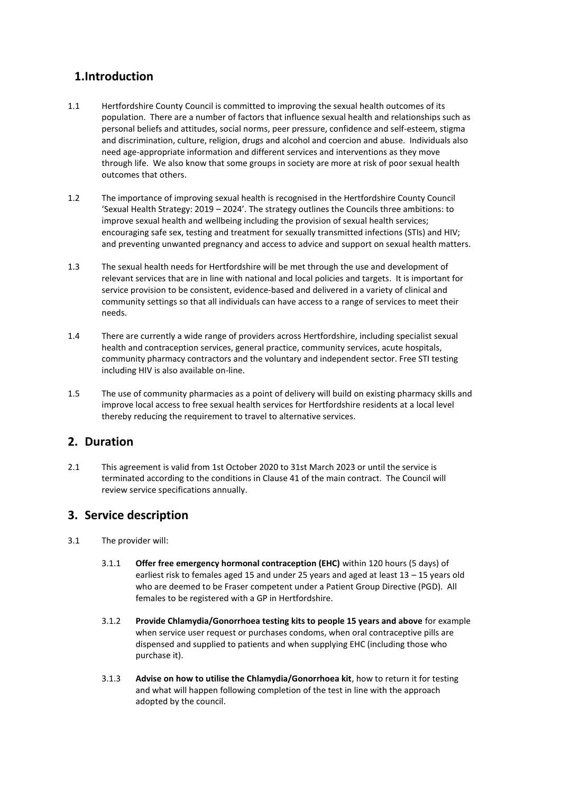# **1.Introduction**

- 1.1 Hertfordshire County Council is committed to improving the sexual health outcomes of its population. There are a number of factors that influence sexual health and relationships such as personal beliefs and attitudes, social norms, peer pressure, confidence and self-esteem, stigma and discrimination, culture, religion, drugs and alcohol and coercion and abuse. Individuals also need age-appropriate information and different services and interventions as they move through life. We also know that some groups in society are more at risk of poor sexual health outcomes that others.
- 1.2 The importance of improving sexual health is recognised in the Hertfordshire County Council 'Sexual Health Strategy: 2019 – 2024'. The strategy outlines the Councils three ambitions: to improve sexual health and wellbeing including the provision of sexual health services; encouraging safe sex, testing and treatment for sexually transmitted infections (STIs) and HIV; and preventing unwanted pregnancy and access to advice and support on sexual health matters.
- 1.3 The sexual health needs for Hertfordshire will be met through the use and development of relevant services that are in line with national and local policies and targets. It is important for service provision to be consistent, evidence-based and delivered in a variety of clinical and community settings so that all individuals can have access to a range of services to meet their needs.
- 1.4 There are currently a wide range of providers across Hertfordshire, including specialist sexual health and contraception services, general practice, community services, acute hospitals, community pharmacy contractors and the voluntary and independent sector. Free STI testing including HIV is also available on-line.
- 1.5 The use of community pharmacies as a point of delivery will build on existing pharmacy skills and improve local access to free sexual health services for Hertfordshire residents at a local level thereby reducing the requirement to travel to alternative services.

# **2. Duration**

2.1 This agreement is valid from 1st October 2020 to 31st March 2023 or until the service is terminated according to the conditions in Clause 41 of the main contract. The Council will review service specifications annually.

# **3. Service description**

- 3.1 The provider will:
	- 3.1.1 **Offer free emergency hormonal contraception (EHC)** within 120 hours (5 days) of earliest risk to females aged 15 and under 25 years and aged at least 13 – 15 years old who are deemed to be Fraser competent under a Patient Group Directive (PGD). All females to be registered with a GP in Hertfordshire.
	- 3.1.2 **Provide Chlamydia/Gonorrhoea testing kits to people 15 years and above** for example when service user request or purchases condoms, when oral contraceptive pills are dispensed and supplied to patients and when supplying EHC (including those who purchase it).
	- 3.1.3 **Advise on how to utilise the Chlamydia/Gonorrhoea kit**, how to return it for testing and what will happen following completion of the test in line with the approach adopted by the council.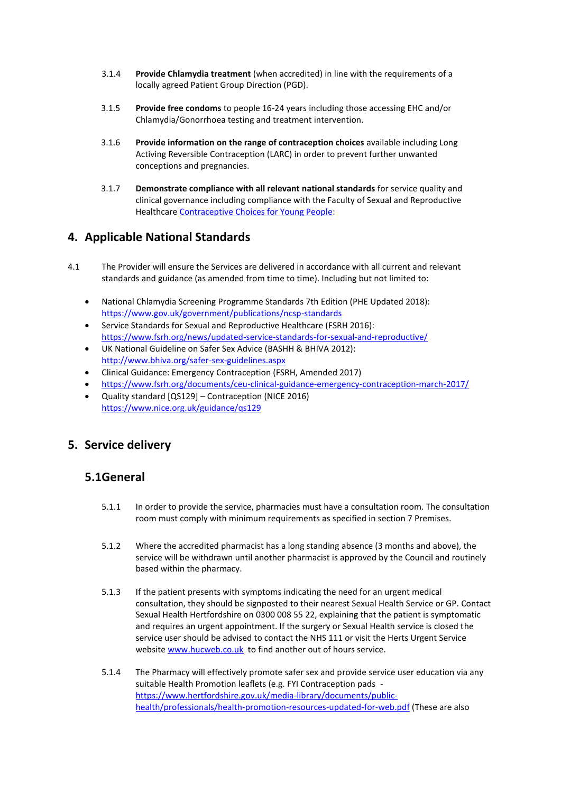- 3.1.4 **Provide Chlamydia treatment** (when accredited) in line with the requirements of a locally agreed Patient Group Direction (PGD).
- 3.1.5 **Provide free condoms** to people 16-24 years including those accessing EHC and/or Chlamydia/Gonorrhoea testing and treatment intervention.
- 3.1.6 **Provide information on the range of contraception choices** available including Long Activing Reversible Contraception (LARC) in order to prevent further unwanted conceptions and pregnancies.
- 3.1.7 **Demonstrate compliance with all relevant national standards** for service quality and clinical governance including compliance with the Faculty of Sexual and Reproductive Healthcar[e Contraceptive Choices for Young People:](https://www.fsrh.org/standards-and-guidance/documents/cec-ceu-guidance-young-people-mar-2010/)

# **4. Applicable National Standards**

- 4.1 The Provider will ensure the Services are delivered in accordance with all current and relevant standards and guidance (as amended from time to time). Including but not limited to:
	- National Chlamydia Screening Programme Standards 7th Edition (PHE Updated 2018): <https://www.gov.uk/government/publications/ncsp-standards>
	- Service Standards for Sexual and Reproductive Healthcare (FSRH 2016): <https://www.fsrh.org/news/updated-service-standards-for-sexual-and-reproductive/>
	- UK National Guideline on Safer Sex Advice (BASHH & BHIVA 2012): <http://www.bhiva.org/safer-sex-guidelines.aspx>
	- Clinical Guidance: Emergency Contraception (FSRH, Amended 2017)
	- <https://www.fsrh.org/documents/ceu-clinical-guidance-emergency-contraception-march-2017/>
	- Quality standard [QS129] Contraception (NICE 2016) <https://www.nice.org.uk/guidance/qs129>

# **5. Service delivery**

# **5.1General**

- 5.1.1 In order to provide the service, pharmacies must have a consultation room. The consultation room must comply with minimum requirements as specified in section 7 Premises.
- 5.1.2 Where the accredited pharmacist has a long standing absence (3 months and above), the service will be withdrawn until another pharmacist is approved by the Council and routinely based within the pharmacy.
- 5.1.3 If the patient presents with symptoms indicating the need for an urgent medical consultation, they should be signposted to their nearest Sexual Health Service or GP. Contact Sexual Health Hertfordshire on 0300 008 55 22, explaining that the patient is symptomatic and requires an urgent appointment. If the surgery or Sexual Health service is closed the service user should be advised to contact the NHS 111 or visit the Herts Urgent Service website [www.hucweb.co.uk](http://www.hucweb.co.uk/) to find another out of hours service.
- 5.1.4 The Pharmacy will effectively promote safer sex and provide service user education via any suitable Health Promotion leaflets (e.g. FYI Contraception pads [https://www.hertfordshire.gov.uk/media-library/documents/public](https://www.hertfordshire.gov.uk/media-library/documents/public-health/professionals/health-promotion-resources-updated-for-web.pdf)[health/professionals/health-promotion-resources-updated-for-web.pdf](https://www.hertfordshire.gov.uk/media-library/documents/public-health/professionals/health-promotion-resources-updated-for-web.pdf) (These are also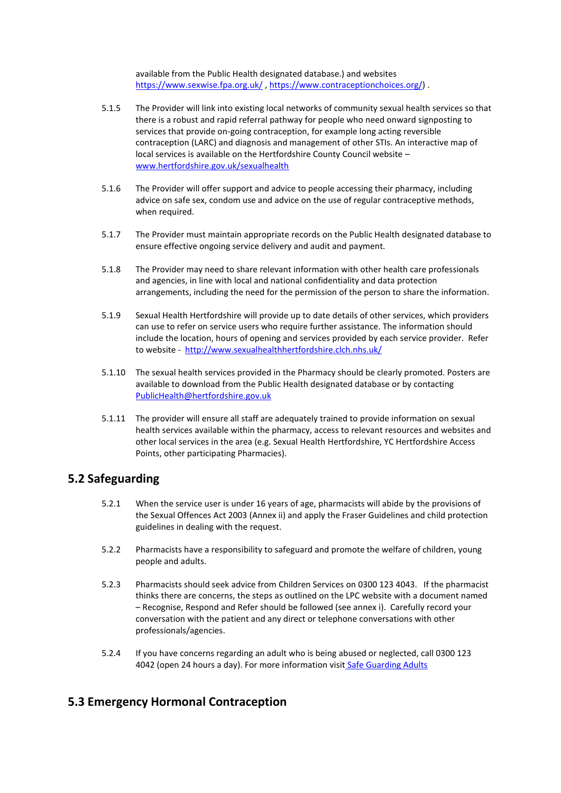available from the Public Health designated database.) and websites <https://www.sexwise.fpa.org.uk/>, [https://www.contraceptionchoices.org/\)](https://www.contraceptionchoices.org/).

- 5.1.5 The Provider will link into existing local networks of community sexual health services so that there is a robust and rapid referral pathway for people who need onward signposting to services that provide on-going contraception, for example long acting reversible contraception (LARC) and diagnosis and management of other STIs. An interactive map of local services is available on the Hertfordshire County Council website – [www.hertfordshire.gov.uk/sexualhealth](http://www.hertfordshire.gov.uk/sexualhealth)
- 5.1.6 The Provider will offer support and advice to people accessing their pharmacy, including advice on safe sex, condom use and advice on the use of regular contraceptive methods, when required.
- 5.1.7 The Provider must maintain appropriate records on the Public Health designated database to ensure effective ongoing service delivery and audit and payment.
- 5.1.8 The Provider may need to share relevant information with other health care professionals and agencies, in line with local and national confidentiality and data protection arrangements, including the need for the permission of the person to share the information.
- 5.1.9 Sexual Health Hertfordshire will provide up to date details of other services, which providers can use to refer on service users who require further assistance. The information should include the location, hours of opening and services provided by each service provider. Refer to website -<http://www.sexualhealthhertfordshire.clch.nhs.uk/>
- 5.1.10 The sexual health services provided in the Pharmacy should be clearly promoted. Posters are available to download from the Public Health designated database or by contacting [PublicHealth@hertfordshire.gov.uk](mailto:PublicHealth@hertfordshire.gov.uk)
- 5.1.11 The provider will ensure all staff are adequately trained to provide information on sexual health services available within the pharmacy, access to relevant resources and websites and other local services in the area (e.g. Sexual Health Hertfordshire, YC Hertfordshire Access Points, other participating Pharmacies).

# **5.2 Safeguarding**

- 5.2.1 When the service user is under 16 years of age, pharmacists will abide by the provisions of the Sexual Offences Act 2003 (Annex ii) and apply the Fraser Guidelines and child protection guidelines in dealing with the request.
- 5.2.2 Pharmacists have a responsibility to safeguard and promote the welfare of children, young people and adults.
- 5.2.3 Pharmacists should seek advice from Children Services on 0300 123 4043. If the pharmacist thinks there are concerns, the steps as outlined on the LPC website with a document named – Recognise, Respond and Refer should be followed (see annex i). Carefully record your conversation with the patient and any direct or telephone conversations with other professionals/agencies.
- 5.2.4 If you have concerns regarding an adult who is being abused or neglected, call 0300 123 4042 (open 24 hours a day). For more information visit [Safe Guarding Adults](https://www.hertfordshire.gov.uk/services/adult-social-services/report-a-concern-about-an-adult/professionals-request-social-care/professionals-make-an-social-care-referral.aspx)

# **5.3 Emergency Hormonal Contraception**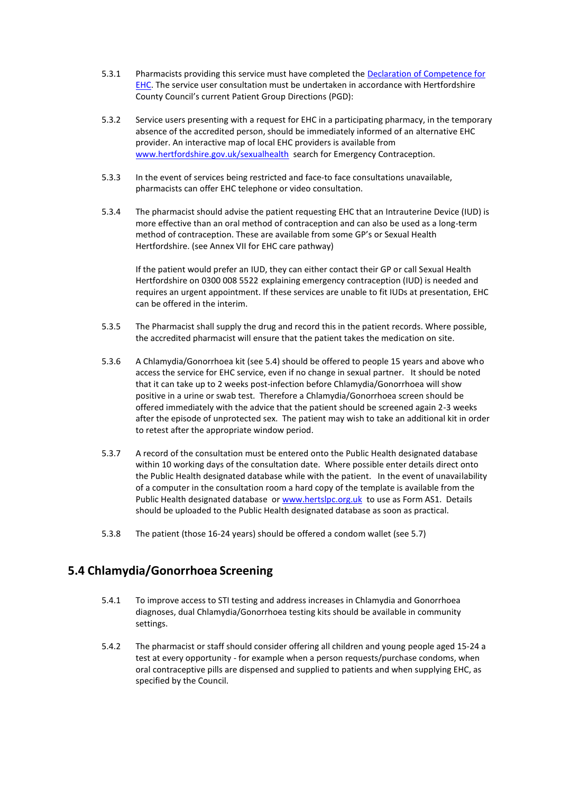- 5.3.1 Pharmacists providing this service must have completed the [Declaration of Competence for](https://www.cppe.ac.uk/services/docs/emergency%20contraception.pdf)  [EHC.](https://www.cppe.ac.uk/services/docs/emergency%20contraception.pdf) The service user consultation must be undertaken in accordance with Hertfordshire County Council's current Patient Group Directions (PGD):
- 5.3.2 Service users presenting with a request for EHC in a participating pharmacy, in the temporary absence of the accredited person, should be immediately informed of an alternative EHC provider. An interactive map of local EHC providers is available from [www.hertfordshire.gov.uk/sexualhealth](http://www.hertfordshire.gov.uk/sexualhealth) search for Emergency Contraception.
- 5.3.3 In the event of services being restricted and face-to face consultations unavailable, pharmacists can offer EHC telephone or video consultation.
- 5.3.4 The pharmacist should advise the patient requesting EHC that an Intrauterine Device (IUD) is more effective than an oral method of contraception and can also be used as a long-term method of contraception. These are available from some GP's or Sexual Health Hertfordshire. (see Annex VII for EHC care pathway)

If the patient would prefer an IUD, they can either contact their GP or call Sexual Health Hertfordshire on 0300 008 5522 explaining emergency contraception (IUD) is needed and requires an urgent appointment. If these services are unable to fit IUDs at presentation, EHC can be offered in the interim.

- 5.3.5 The Pharmacist shall supply the drug and record this in the patient records. Where possible, the accredited pharmacist will ensure that the patient takes the medication on site.
- 5.3.6 A Chlamydia/Gonorrhoea kit (see 5.4) should be offered to people 15 years and above who access the service for EHC service, even if no change in sexual partner. It should be noted that it can take up to 2 weeks post-infection before Chlamydia/Gonorrhoea will show positive in a urine or swab test. Therefore a Chlamydia/Gonorrhoea screen should be offered immediately with the advice that the patient should be screened again 2-3 weeks after the episode of unprotected sex. The patient may wish to take an additional kit in order to retest after the appropriate window period.
- 5.3.7 A record of the consultation must be entered onto the Public Health designated database within 10 working days of the consultation date. Where possible enter details direct onto the Public Health designated database while with the patient. In the event of unavailability of a computer in the consultation room a hard copy of the template is available from the Public Health designated database o[r www.hertslpc.org.uk](http://www.hertslpc.org.uk/) to use as Form AS1. Details should be uploaded to the Public Health designated database as soon as practical.
- 5.3.8 The patient (those 16-24 years) should be offered a condom wallet (see 5.7)

# **5.4 Chlamydia/Gonorrhoea Screening**

- 5.4.1 To improve access to STI testing and address increases in Chlamydia and Gonorrhoea diagnoses, dual Chlamydia/Gonorrhoea testing kits should be available in community settings.
- 5.4.2 The pharmacist or staff should consider offering all children and young people aged 15-24 a test at every opportunity - for example when a person requests/purchase condoms, when oral contraceptive pills are dispensed and supplied to patients and when supplying EHC, as specified by the Council.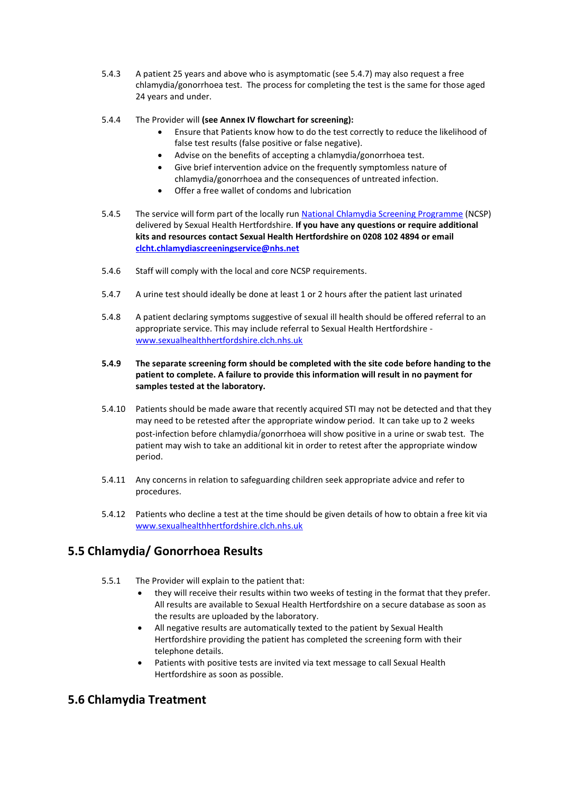- 5.4.3 A patient 25 years and above who is asymptomatic (see 5.4.7) may also request a free chlamydia/gonorrhoea test. The process for completing the test is the same for those aged 24 years and under.
- 5.4.4 The Provider will **(see Annex IV flowchart for screening):**
	- Ensure that Patients know how to do the test correctly to reduce the likelihood of false test results (false positive or false negative).
	- Advise on the benefits of accepting a chlamydia/gonorrhoea test.
	- Give brief intervention advice on the frequently symptomless nature of chlamydia/gonorrhoea and the consequences of untreated infection.
	- Offer a free wallet of condoms and lubrication
- 5.4.5 The service will form part of the locally run [National Chlamydia Screening Programme](https://www.gov.uk/government/publications/ncsp-standards) (NCSP) delivered by Sexual Health Hertfordshire. **If you have any questions or require additional kits and resources contact Sexual Health Hertfordshire on 0208 102 4894 or email [clcht.chlamydiascreeningservice@nhs.net](mailto:clcht.chlamydiascreeningservice@nhs.net)**
- 5.4.6 Staff will comply with the local and core NCSP requirements.
- 5.4.7 A urine test should ideally be done at least 1 or 2 hours after the patient last urinated
- 5.4.8 A patient declaring symptoms suggestive of sexual ill health should be offered referral to an appropriate service. This may include referral to Sexual Health Hertfordshire [www.sexualhealthhertfordshire.clch.nhs.uk](http://www.sexualhealthhertfordshire.clch.nhs.uk/)

#### **5.4.9 The separate screening form should be completed with the site code before handing to the patient to complete. A failure to provide this information will result in no payment for samples tested at the laboratory.**

- 5.4.10 Patients should be made aware that recently acquired STI may not be detected and that they may need to be retested after the appropriate window period. It can take up to 2 weeks post-infection before chlamydia/gonorrhoea will show positive in a urine or swab test. The patient may wish to take an additional kit in order to retest after the appropriate window period.
- 5.4.11 Any concerns in relation to safeguarding children seek appropriate advice and refer to procedures.
- 5.4.12 Patients who decline a test at the time should be given details of how to obtain a free kit via [www.sexualhealthhertfordshire.clch.nhs.uk](http://www.sexualhealthhertfordshire.clch.nhs.uk/)

# **5.5 Chlamydia/ Gonorrhoea Results**

- 5.5.1 The Provider will explain to the patient that:
	- they will receive their results within two weeks of testing in the format that they prefer. All results are available to Sexual Health Hertfordshire on a secure database as soon as the results are uploaded by the laboratory.
	- All negative results are automatically texted to the patient by Sexual Health Hertfordshire providing the patient has completed the screening form with their telephone details.
	- Patients with positive tests are invited via text message to call Sexual Health Hertfordshire as soon as possible.

# **5.6 Chlamydia Treatment**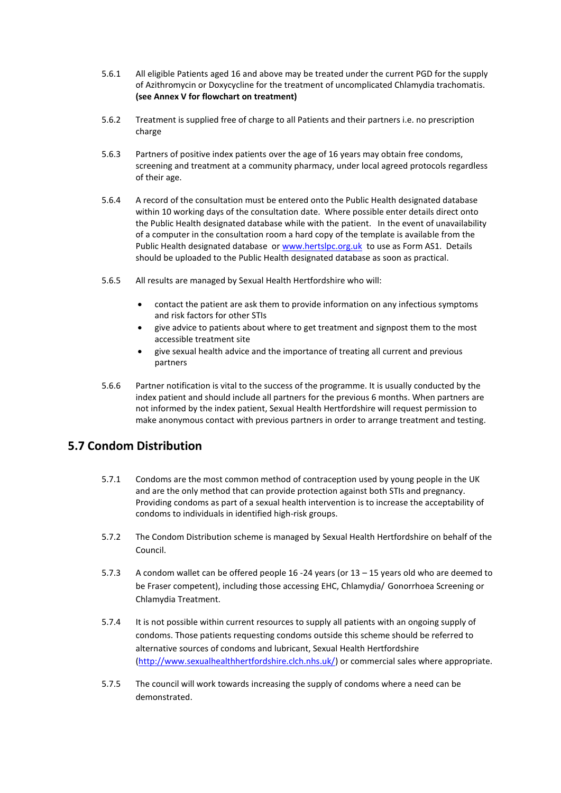- 5.6.1 All eligible Patients aged 16 and above may be treated under the current PGD for the supply of Azithromycin or Doxycycline for the treatment of uncomplicated Chlamydia trachomatis. **(see Annex V for flowchart on treatment)**
- 5.6.2 Treatment is supplied free of charge to all Patients and their partners i.e. no prescription charge
- 5.6.3 Partners of positive index patients over the age of 16 years may obtain free condoms, screening and treatment at a community pharmacy, under local agreed protocols regardless of their age.
- 5.6.4 A record of the consultation must be entered onto the Public Health designated database within 10 working days of the consultation date. Where possible enter details direct onto the Public Health designated database while with the patient. In the event of unavailability of a computer in the consultation room a hard copy of the template is available from the Public Health designated database o[r www.hertslpc.org.uk](http://www.hertslpc.org.uk/) to use as Form AS1. Details should be uploaded to the Public Health designated database as soon as practical.
- 5.6.5 All results are managed by Sexual Health Hertfordshire who will:
	- contact the patient are ask them to provide information on any infectious symptoms and risk factors for other STIs
	- give advice to patients about where to get treatment and signpost them to the most accessible treatment site
	- give sexual health advice and the importance of treating all current and previous partners
- 5.6.6 Partner notification is vital to the success of the programme. It is usually conducted by the index patient and should include all partners for the previous 6 months. When partners are not informed by the index patient, Sexual Health Hertfordshire will request permission to make anonymous contact with previous partners in order to arrange treatment and testing.

# **5.7 Condom Distribution**

- 5.7.1 Condoms are the most common method of contraception used by young people in the UK and are the only method that can provide protection against both STIs and pregnancy. Providing condoms as part of a sexual health intervention is to increase the acceptability of condoms to individuals in identified high-risk groups.
- 5.7.2 The Condom Distribution scheme is managed by Sexual Health Hertfordshire on behalf of the Council.
- 5.7.3 A condom wallet can be offered people 16 -24 years (or 13 15 years old who are deemed to be Fraser competent), including those accessing EHC, Chlamydia/ Gonorrhoea Screening or Chlamydia Treatment.
- 5.7.4 It is not possible within current resources to supply all patients with an ongoing supply of condoms. Those patients requesting condoms outside this scheme should be referred to alternative sources of condoms and lubricant, Sexual Health Hertfordshire [\(http://www.sexualhealthhertfordshire.clch.nhs.uk/\)](http://www.sexualhealthhertfordshire.clch.nhs.uk/) or commercial sales where appropriate.
- 5.7.5 The council will work towards increasing the supply of condoms where a need can be demonstrated.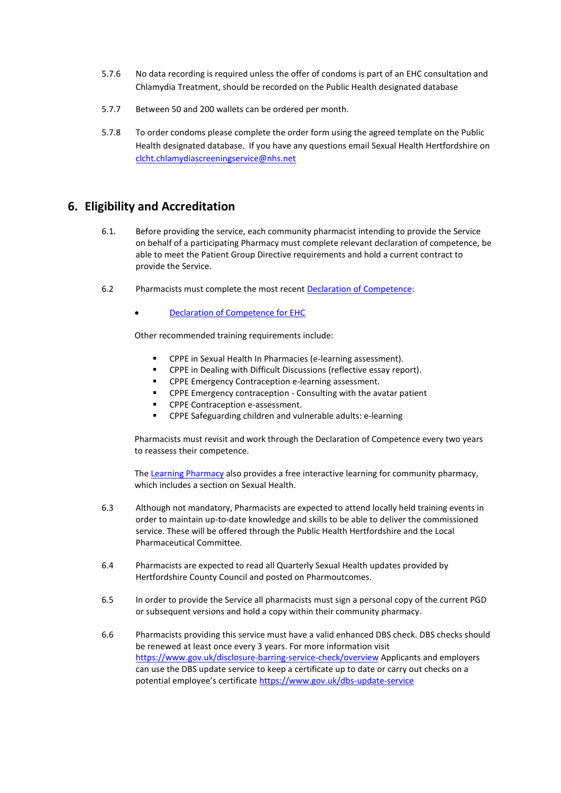- 5.7.6 No data recording is required unless the offer of condoms is part of an EHC consultation and Chlamydia Treatment, should be recorded on the Public Health designated database
- 5.7.7 Between 50 and 200 wallets can be ordered per month.
- 5.7.8 To order condoms please complete the order form using the agreed template on the Public Health designated database. If you have any questions email Sexual Health Hertfordshire on [clcht.chlamydiascreeningservice@nhs.net](mailto:clcht.chlamydiascreeningservice@nhs.net)

# **6. Eligibility and Accreditation**

- 6.1. Before providing the service, each community pharmacist intending to provide the Service on behalf of a participating Pharmacy must complete relevant declaration of competence, be able to meet the Patient Group Directive requirements and hold a current contract to provide the Service.
- 6.2 Pharmacists must complete the most recent Declaration of Competence:
	- [Declaration of Competence for EHC](https://www.cppe.ac.uk/services/docs/emergency%20contraception.pdf)

Other recommended training requirements include:

- CPPE in Sexual Health In Pharmacies (e-learning assessment).
- CPPE in Dealing with Difficult Discussions (reflective essay report).
- CPPE Emergency Contraception e-learning assessment.
- CPPE Emergency contraception Consulting with the avatar patient
- CPPE Contraception e-assessment.
- CPPE Safeguarding children and vulnerable adults: e-learning

Pharmacists must revisit and work through the Declaration of Competence every two years to reassess their competence.

The [Learning Pharmacy](http://www.thelearningpharmacy.com/) also provides a free interactive learning for community pharmacy, which includes a section on Sexual Health.

- 6.3 Although not mandatory, Pharmacists are expected to attend locally held training events in order to maintain up-to-date knowledge and skills to be able to deliver the commissioned service. These will be offered through the Public Health Hertfordshire and the Local Pharmaceutical Committee.
- 6.4 Pharmacists are expected to read all Quarterly Sexual Health updates provided by Hertfordshire County Council and posted on Pharmoutcomes.
- 6.5 In order to provide the Service all pharmacists must sign a personal copy of the current PGD or subsequent versions and hold a copy within their community pharmacy.
- 6.6 Pharmacists providing this service must have a valid enhanced DBS check. DBS checks should be renewed at least once every 3 years. For more information visit <https://www.gov.uk/disclosure-barring-service-check/overview> Applicants and employers can use the DBS update service to keep a certificate up to date or carry out checks on a potential employee's certificate <https://www.gov.uk/dbs-update-service>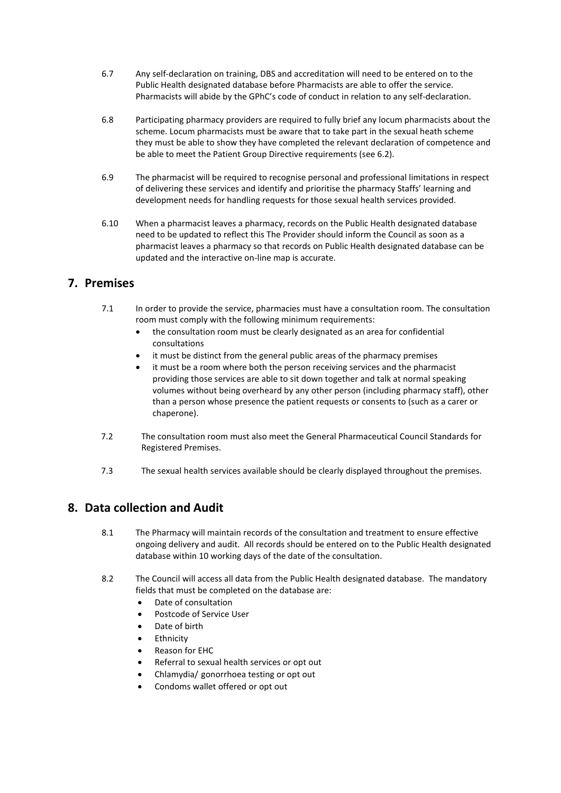- 6.7 Any self-declaration on training, DBS and accreditation will need to be entered on to the Public Health designated database before Pharmacists are able to offer the service. Pharmacists will abide by the GPhC's code of conduct in relation to any self-declaration.
- 6.8 Participating pharmacy providers are required to fully brief any locum pharmacists about the scheme. Locum pharmacists must be aware that to take part in the sexual heath scheme they must be able to show they have completed the relevant declaration of competence and be able to meet the Patient Group Directive requirements (see 6.2).
- 6.9 The pharmacist will be required to recognise personal and professional limitations in respect of delivering these services and identify and prioritise the pharmacy Staffs' learning and development needs for handling requests for those sexual health services provided.
- 6.10 When a pharmacist leaves a pharmacy, records on the Public Health designated database need to be updated to reflect this The Provider should inform the Council as soon as a pharmacist leaves a pharmacy so that records on Public Health designated database can be updated and the interactive on-line map is accurate.

# **7. Premises**

- 7.1 In order to provide the service, pharmacies must have a consultation room. The consultation room must comply with the following minimum requirements:
	- the consultation room must be clearly designated as an area for confidential consultations
	- it must be distinct from the general public areas of the pharmacy premises
	- it must be a room where both the person receiving services and the pharmacist providing those services are able to sit down together and talk at normal speaking volumes without being overheard by any other person (including pharmacy staff), other than a person whose presence the patient requests or consents to (such as a carer or chaperone).
- 7.2 The consultation room must also meet the General Pharmaceutical Council Standards for Registered Premises.
- 7.3 The sexual health services available should be clearly displayed throughout the premises.

# **8. Data collection and Audit**

- 8.1 The Pharmacy will maintain records of the consultation and treatment to ensure effective ongoing delivery and audit. All records should be entered on to the Public Health designated database within 10 working days of the date of the consultation.
- 8.2 The Council will access all data from the Public Health designated database. The mandatory fields that must be completed on the database are:
	- Date of consultation
	- Postcode of Service User
	- Date of birth
	- **Ethnicity**
	- Reason for EHC
	- Referral to sexual health services or opt out
	- Chlamydia/ gonorrhoea testing or opt out
	- Condoms wallet offered or opt out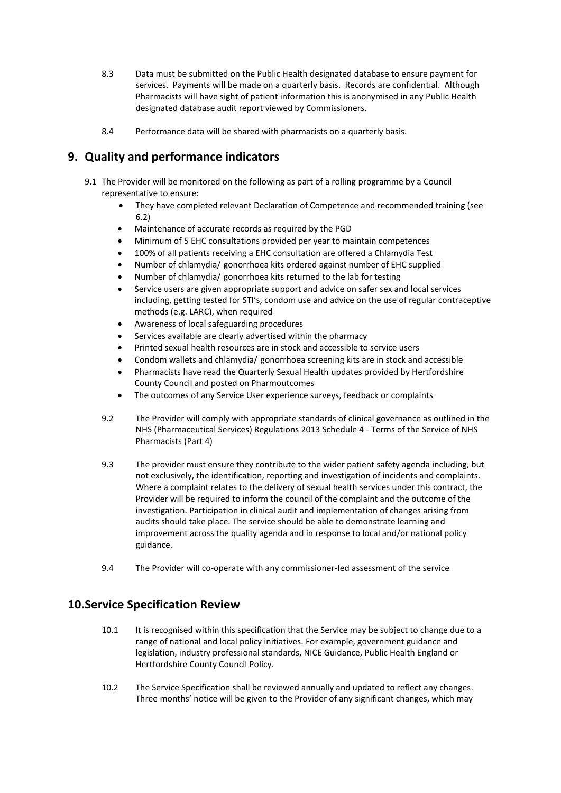- 8.3 Data must be submitted on the Public Health designated database to ensure payment for services. Payments will be made on a quarterly basis. Records are confidential. Although Pharmacists will have sight of patient information this is anonymised in any Public Health designated database audit report viewed by Commissioners.
- 8.4 Performance data will be shared with pharmacists on a quarterly basis.

# **9. Quality and performance indicators**

- 9.1 The Provider will be monitored on the following as part of a rolling programme by a Council representative to ensure:
	- They have completed relevant Declaration of Competence and recommended training (see 6.2)
	- Maintenance of accurate records as required by the PGD
	- Minimum of 5 EHC consultations provided per year to maintain competences
	- 100% of all patients receiving a EHC consultation are offered a Chlamydia Test
	- Number of chlamydia/ gonorrhoea kits ordered against number of EHC supplied
	- Number of chlamydia/ gonorrhoea kits returned to the lab for testing
	- Service users are given appropriate support and advice on safer sex and local services including, getting tested for STI's, condom use and advice on the use of regular contraceptive methods (e.g. LARC), when required
	- Awareness of local safeguarding procedures
	- Services available are clearly advertised within the pharmacy
	- Printed sexual health resources are in stock and accessible to service users
	- Condom wallets and chlamydia/ gonorrhoea screening kits are in stock and accessible
	- Pharmacists have read the Quarterly Sexual Health updates provided by Hertfordshire County Council and posted on Pharmoutcomes
	- The outcomes of any Service User experience surveys, feedback or complaints
	- 9.2 The Provider will comply with appropriate standards of clinical governance as outlined in the NHS (Pharmaceutical Services) Regulations 2013 Schedule 4 - Terms of the Service of NHS Pharmacists (Part 4)
	- 9.3 The provider must ensure they contribute to the wider patient safety agenda including, but not exclusively, the identification, reporting and investigation of incidents and complaints. Where a complaint relates to the delivery of sexual health services under this contract, the Provider will be required to inform the council of the complaint and the outcome of the investigation. Participation in clinical audit and implementation of changes arising from audits should take place. The service should be able to demonstrate learning and improvement across the quality agenda and in response to local and/or national policy guidance.
	- 9.4 The Provider will co-operate with any commissioner-led assessment of the service

# **10.Service Specification Review**

- 10.1 It is recognised within this specification that the Service may be subject to change due to a range of national and local policy initiatives. For example, government guidance and legislation, industry professional standards, NICE Guidance, Public Health England or Hertfordshire County Council Policy.
- 10.2 The Service Specification shall be reviewed annually and updated to reflect any changes. Three months' notice will be given to the Provider of any significant changes, which may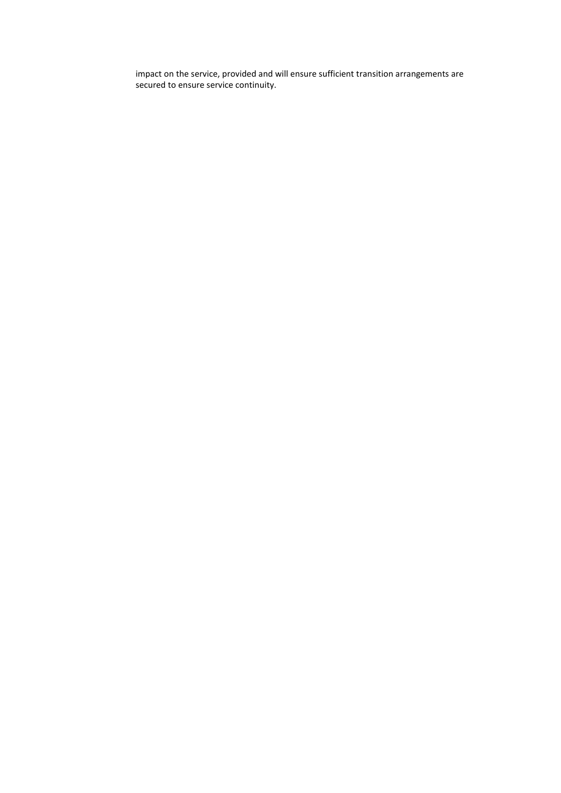impact on the service, provided and will ensure sufficient transition arrangements are secured to ensure service continuity.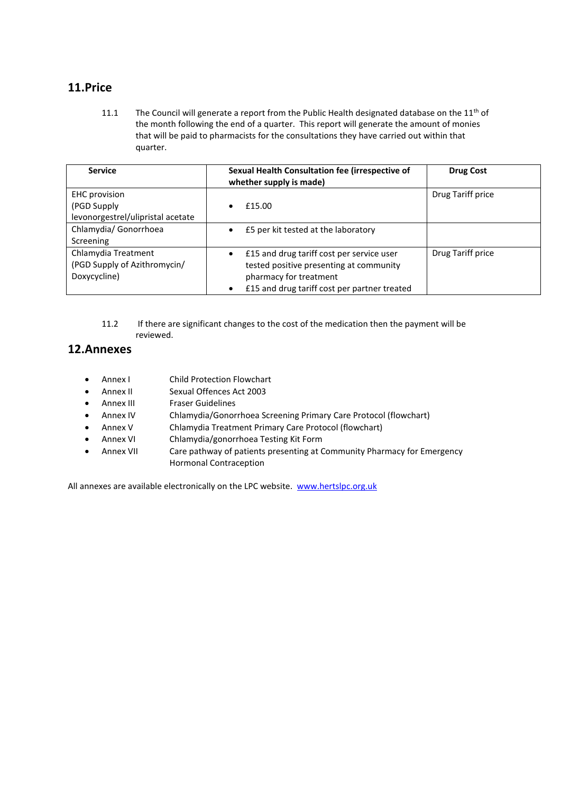# **11.Price**

11.1 The Council will generate a report from the Public Health designated database on the 11<sup>th</sup> of the month following the end of a quarter. This report will generate the amount of monies that will be paid to pharmacists for the consultations they have carried out within that quarter.

| <b>Service</b>                    | Sexual Health Consultation fee (irrespective of<br>whether supply is made) | <b>Drug Cost</b>  |
|-----------------------------------|----------------------------------------------------------------------------|-------------------|
| <b>EHC</b> provision              |                                                                            | Drug Tariff price |
| (PGD Supply)                      | £15.00                                                                     |                   |
| levonorgestrel/ulipristal acetate |                                                                            |                   |
| Chlamydia/ Gonorrhoea             | £5 per kit tested at the laboratory                                        |                   |
| Screening                         |                                                                            |                   |
| Chlamydia Treatment               | £15 and drug tariff cost per service user<br>$\bullet$                     | Drug Tariff price |
| (PGD Supply of Azithromycin/      | tested positive presenting at community                                    |                   |
| Doxycycline)                      | pharmacy for treatment                                                     |                   |
|                                   | £15 and drug tariff cost per partner treated                               |                   |

11.2 If there are significant changes to the cost of the medication then the payment will be reviewed.

# **12.Annexes**

- Annex I Child Protection Flowchart
- Annex II Sexual Offences Act 2003
- Annex III Fraser Guidelines
- Annex IV Chlamydia/Gonorrhoea Screening Primary Care Protocol (flowchart)
- Annex V Chlamydia Treatment Primary Care Protocol (flowchart)
- Annex VI Chlamydia/gonorrhoea Testing Kit Form
- Annex VII Care pathway of patients presenting at Community Pharmacy for Emergency Hormonal Contraception

All annexes are available electronically on the LPC website. [www.hertslpc.org.uk](http://www.hertslpc.org.uk/)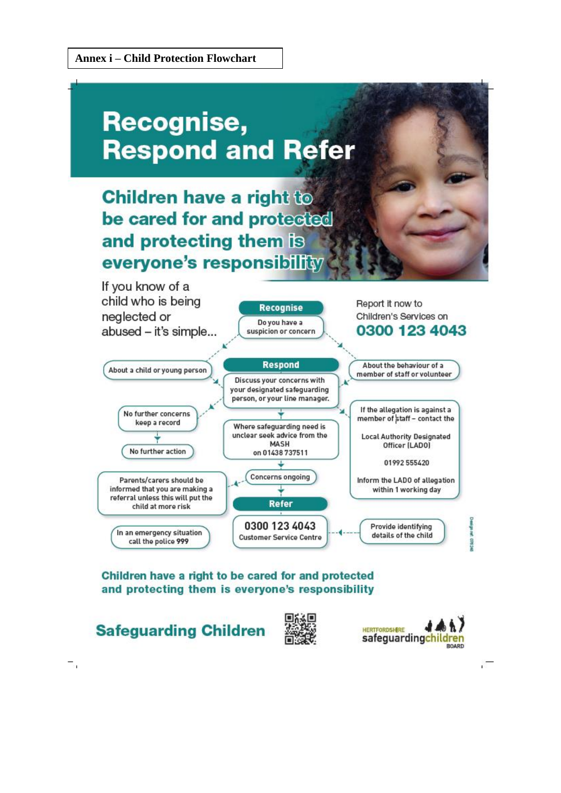# **Recognise, Respond and Refer**

# **Children have a right to** be cared for and protected and protecting them is everyone's responsibility



# Children have a right to be cared for and protected and protecting them is everyone's responsibility

**Safeguarding Children** 

 $\overline{\phantom{a}}$ 



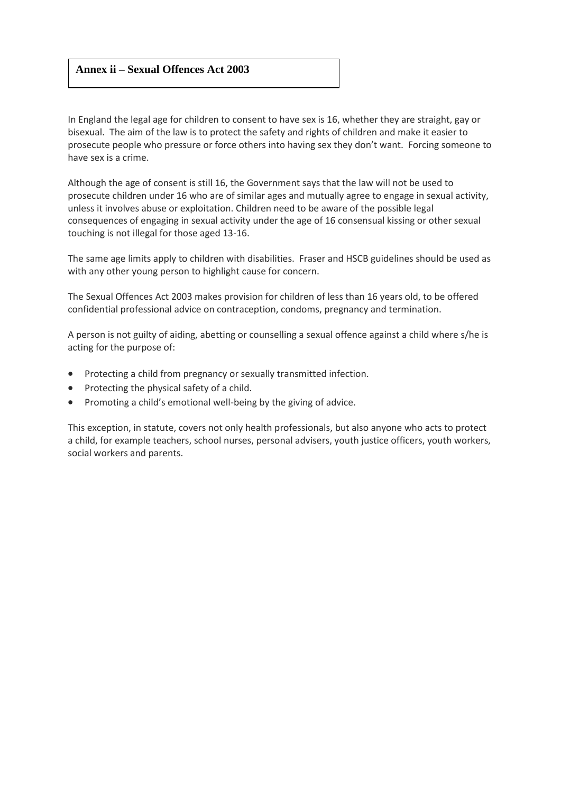### **Annex ii – Sexual Offences Act 2003**

In England the legal age for children to consent to have sex is 16, whether they are straight, gay or bisexual. The aim of the law is to protect the safety and rights of children and make it easier to prosecute people who pressure or force others into having sex they don't want. Forcing someone to have sex is a crime.

Although the age of consent is still 16, the Government says that the law will not be used to prosecute children under 16 who are of similar ages and mutually agree to engage in sexual activity, unless it involves abuse or exploitation. Children need to be aware of the possible legal consequences of engaging in sexual activity under the age of 16 consensual kissing or other sexual touching is not illegal for those aged 13-16.

The same age limits apply to children with disabilities. Fraser and HSCB guidelines should be used as with any other young person to highlight cause for concern.

The Sexual Offences Act 2003 makes provision for children of less than 16 years old, to be offered confidential professional advice on contraception, condoms, pregnancy and termination.

A person is not guilty of aiding, abetting or counselling a sexual offence against a child where s/he is acting for the purpose of:

- Protecting a child from pregnancy or sexually transmitted infection.
- Protecting the physical safety of a child.
- Promoting a child's emotional well-being by the giving of advice.

This exception, in statute, covers not only health professionals, but also anyone who acts to protect a child, for example teachers, school nurses, personal advisers, youth justice officers, youth workers, social workers and parents.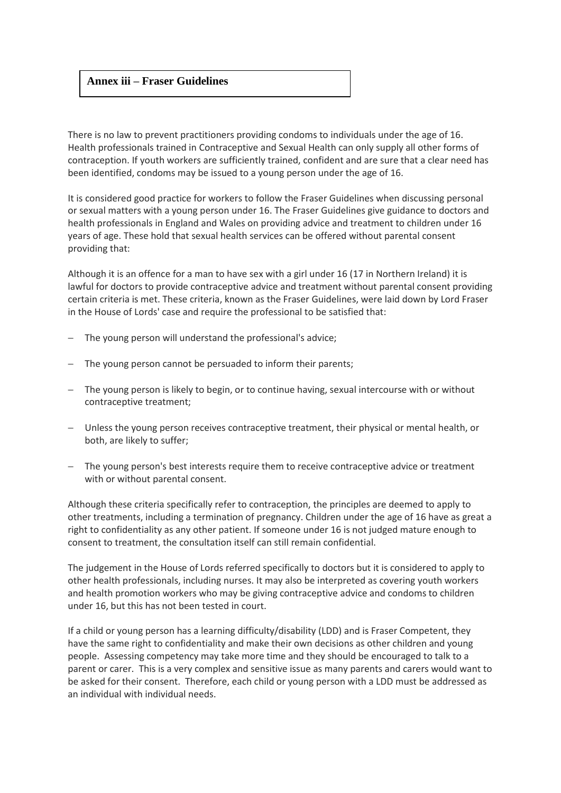### **Annex iii – Fraser Guidelines**

There is no law to prevent practitioners providing condoms to individuals under the age of 16. Health professionals trained in Contraceptive and Sexual Health can only supply all other forms of contraception. If youth workers are sufficiently trained, confident and are sure that a clear need has been identified, condoms may be issued to a young person under the age of 16.

It is considered good practice for workers to follow the Fraser Guidelines when discussing personal or sexual matters with a young person under 16. The Fraser Guidelines give guidance to doctors and health professionals in England and Wales on providing advice and treatment to children under 16 years of age. These hold that sexual health services can be offered without parental consent providing that:

Although it is an offence for a man to have sex with a girl under 16 (17 in Northern Ireland) it is lawful for doctors to provide contraceptive advice and treatment without parental consent providing certain criteria is met. These criteria, known as the Fraser Guidelines, were laid down by Lord Fraser in the House of Lords' case and require the professional to be satisfied that:

- The young person will understand the professional's advice;
- − The young person cannot be persuaded to inform their parents;
- − The young person is likely to begin, or to continue having, sexual intercourse with or without contraceptive treatment;
- − Unless the young person receives contraceptive treatment, their physical or mental health, or both, are likely to suffer;
- − The young person's best interests require them to receive contraceptive advice or treatment with or without parental consent.

Although these criteria specifically refer to contraception, the principles are deemed to apply to other treatments, including a termination of pregnancy. Children under the age of 16 have as great a right to confidentiality as any other patient. If someone under 16 is not judged mature enough to consent to treatment, the consultation itself can still remain confidential.

The judgement in the House of Lords referred specifically to doctors but it is considered to apply to other health professionals, including nurses. It may also be interpreted as covering youth workers and health promotion workers who may be giving contraceptive advice and condoms to children under 16, but this has not been tested in court.

If a child or young person has a learning difficulty/disability (LDD) and is Fraser Competent, they have the same right to confidentiality and make their own decisions as other children and young people. Assessing competency may take more time and they should be encouraged to talk to a parent or carer. This is a very complex and sensitive issue as many parents and carers would want to be asked for their consent. Therefore, each child or young person with a LDD must be addressed as an individual with individual needs.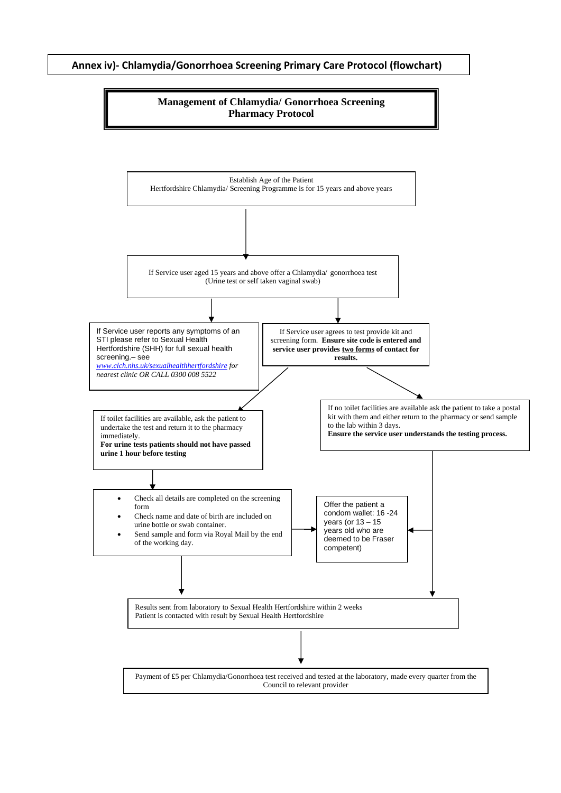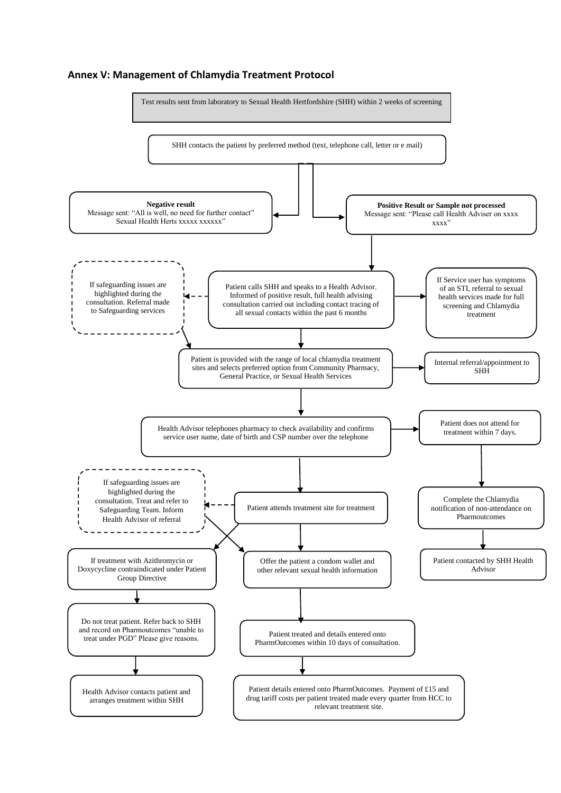#### **Annex V: Management of Chlamydia Treatment Protocol**

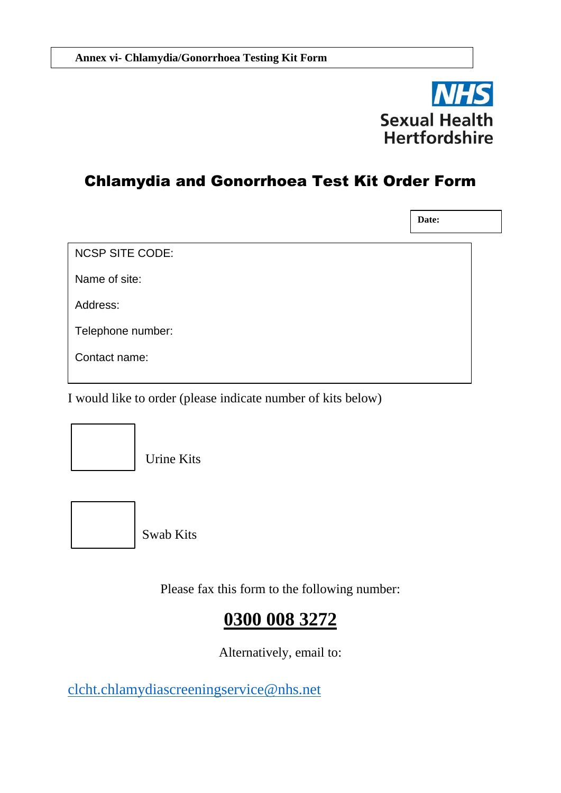

# Chlamydia and Gonorrhoea Test Kit Order Form

NCSP SITE CODE: Name of site: Address: Telephone number: Contact name: **Date:**

I would like to order (please indicate number of kits below)



Urine Kits



Swab Kits

Please fax this form to the following number:

# **0300 008 3272**

Alternatively, email to:

[clcht.chlamydiascreeningservice@nhs.net](mailto:clcht.chlamydiascreeningservice@nhs.net)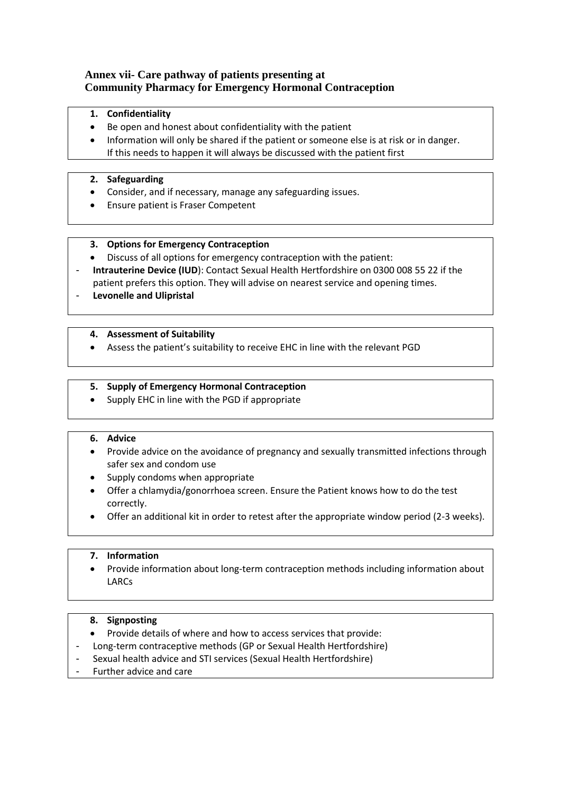### **Annex vii- Care pathway of patients presenting at Community Pharmacy for Emergency Hormonal Contraception**

- **1. Confidentiality**
- Be open and honest about confidentiality with the patient
- Information will only be shared if the patient or someone else is at risk or in danger. If this needs to happen it will always be discussed with the patient first

#### **2. Safeguarding**

- Consider, and if necessary, manage any safeguarding issues.
- Ensure patient is Fraser Competent

#### **3. Options for Emergency Contraception**

- Discuss of all options for emergency contraception with the patient:
- **Intrauterine Device (IUD**): Contact Sexual Health Hertfordshire on 0300 008 55 22 if the patient prefers this option. They will advise on nearest service and opening times.
- **Levonelle and Ulipristal**

#### **4. Assessment of Suitability**

• Assess the patient's suitability to receive EHC in line with the relevant PGD

#### **5. Supply of Emergency Hormonal Contraception**

• Supply EHC in line with the PGD if appropriate

### **6. Advice**

- Provide advice on the avoidance of pregnancy and sexually transmitted infections through safer sex and condom use
- Supply condoms when appropriate
- Offer a chlamydia/gonorrhoea screen. Ensure the Patient knows how to do the test correctly.
- Offer an additional kit in order to retest after the appropriate window period (2-3 weeks).

#### **7. Information**

• Provide information about long-term contraception methods including information about LARCs

#### **8. Signposting**

- Provide details of where and how to access services that provide:
- Long-term contraceptive methods (GP or Sexual Health Hertfordshire)
- Sexual health advice and STI services (Sexual Health Hertfordshire)
- Further advice and care